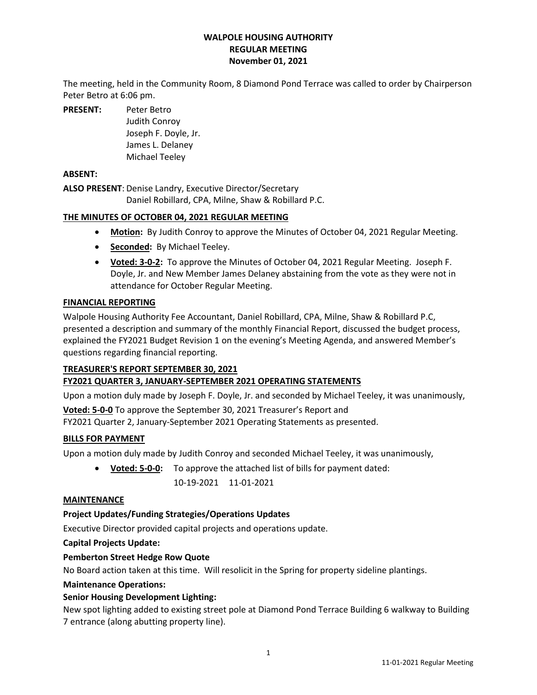### **WALPOLE HOUSING AUTHORITY REGULAR MEETING November 01, 2021**

The meeting, held in the Community Room, 8 Diamond Pond Terrace was called to order by Chairperson Peter Betro at 6:06 pm.

**PRESENT:** Peter Betro

Judith Conroy Joseph F. Doyle, Jr. James L. Delaney Michael Teeley

# **ABSENT:**

**ALSO PRESENT**: Denise Landry, Executive Director/Secretary Daniel Robillard, CPA, Milne, Shaw & Robillard P.C.

### **THE MINUTES OF OCTOBER 04, 2021 REGULAR MEETING**

- **Motion:** By Judith Conroy to approve the Minutes of October 04, 2021 Regular Meeting.
- **Seconded:** By Michael Teeley.
- **Voted: 3-0-2:** To approve the Minutes of October 04, 2021 Regular Meeting. Joseph F. Doyle, Jr. and New Member James Delaney abstaining from the vote as they were not in attendance for October Regular Meeting.

### **FINANCIAL REPORTING**

Walpole Housing Authority Fee Accountant, Daniel Robillard, CPA, Milne, Shaw & Robillard P.C, presented a description and summary of the monthly Financial Report, discussed the budget process, explained the FY2021 Budget Revision 1 on the evening's Meeting Agenda, and answered Member's questions regarding financial reporting.

### **TREASURER'S REPORT SEPTEMBER 30, 2021**

# **FY2021 QUARTER 3, JANUARY-SEPTEMBER 2021 OPERATING STATEMENTS**

Upon a motion duly made by Joseph F. Doyle, Jr. and seconded by Michael Teeley, it was unanimously,

**Voted: 5-0-0** To approve the September 30, 2021 Treasurer's Report and FY2021 Quarter 2, January-September 2021 Operating Statements as presented.

### **BILLS FOR PAYMENT**

Upon a motion duly made by Judith Conroy and seconded Michael Teeley, it was unanimously,

• **Voted: 5-0-0:** To approve the attached list of bills for payment dated: 10-19-2021 11-01-2021

### **MAINTENANCE**

# **Project Updates/Funding Strategies/Operations Updates**

Executive Director provided capital projects and operations update.

### **Capital Projects Update:**

### **Pemberton Street Hedge Row Quote**

No Board action taken at this time. Will resolicit in the Spring for property sideline plantings.

### **Maintenance Operations:**

### **Senior Housing Development Lighting:**

New spot lighting added to existing street pole at Diamond Pond Terrace Building 6 walkway to Building 7 entrance (along abutting property line).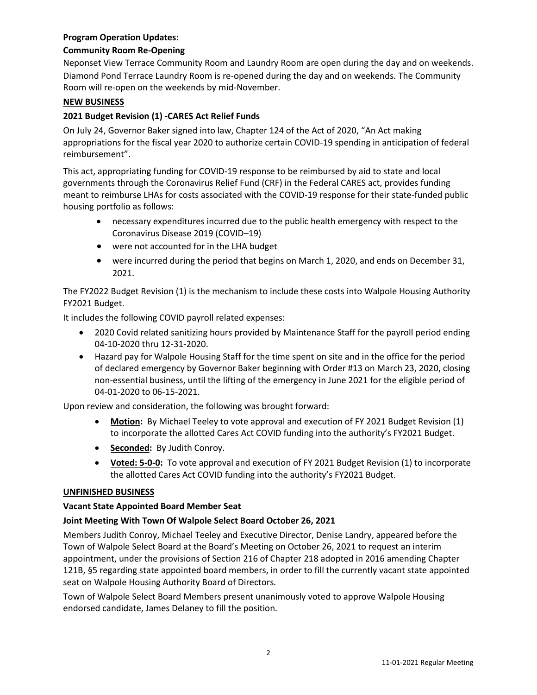# **Program Operation Updates:**

## **Community Room Re-Opening**

Neponset View Terrace Community Room and Laundry Room are open during the day and on weekends. Diamond Pond Terrace Laundry Room is re-opened during the day and on weekends. The Community Room will re-open on the weekends by mid-November.

### **NEW BUSINESS**

## **2021 Budget Revision (1) -CARES Act Relief Funds**

On July 24, Governor Baker signed into law, Chapter 124 of the Act of 2020[,](https://malegislature.gov/Laws/SessionLaws/Acts/2020/Chapter124) "An Act making appropriations for the fiscal year 2020 to authorize certain COVID-19 spending in anticipation of federal reimbursement".

This act, appropriating funding for COVID-19 response to be reimbursed by aid to state and local governments through the Coronavirus Relief Fun[d](https://home.treasury.gov/policy-issues/cares/state-and-local-governments#:~:text=and%20Tribal%20Governments-,The%20CARES%20Act%20Provides%20Assistance%20for%20State%2C%20Local%2C%20and%20Tribal,%24150%20billion%20Coronavirus%20Relief%20Fund.) (CRF) in the Federal CARES act, provides funding meant to reimburse LHAs for costs associated with the COVID-19 response for their state-funded public housing portfolio as follows:

- necessary expenditures incurred due to the public health emergency with respect to the Coronavirus Disease 2019 (COVID–19)
- were not accounted for in the LHA budget
- were incurred during the period that begins on March 1, 2020, and ends on December 31, 2021.

The FY2022 Budget Revision (1) is the mechanism to include these costs into Walpole Housing Authority FY2021 Budget.

It includes the following COVID payroll related expenses:

- 2020 Covid related sanitizing hours provided by Maintenance Staff for the payroll period ending 04-10-2020 thru 12-31-2020.
- Hazard pay for Walpole Housing Staff for the time spent on site and in the office for the period of declared emergency by Governor Baker beginning with Order #13 on March 23, 2020, closing non-essential business, until the lifting of the emergency in June 2021 for the eligible period of 04-01-2020 to 06-15-2021.

Upon review and consideration, the following was brought forward:

- **Motion:** By Michael Teeley to vote approval and execution of FY 2021 Budget Revision (1) to incorporate the allotted Cares Act COVID funding into the authority's FY2021 Budget.
- **Seconded:** By Judith Conroy.
- **Voted: 5-0-0:** To vote approval and execution of FY 2021 Budget Revision (1) to incorporate the allotted Cares Act COVID funding into the authority's FY2021 Budget.

### **UNFINISHED BUSINESS**

### **Vacant State Appointed Board Member Seat**

### **Joint Meeting With Town Of Walpole Select Board October 26, 2021**

Members Judith Conroy, Michael Teeley and Executive Director, Denise Landry, appeared before the Town of Walpole Select Board at the Board's Meeting on October 26, 2021 to request an interim appointment, under the provisions of Section 216 of Chapter 218 adopted in 2016 amending Chapter 121B, §5 regarding state appointed board members, in order to fill the currently vacant state appointed seat on Walpole Housing Authority Board of Directors.

Town of Walpole Select Board Members present unanimously voted to approve Walpole Housing endorsed candidate, James Delaney to fill the position.